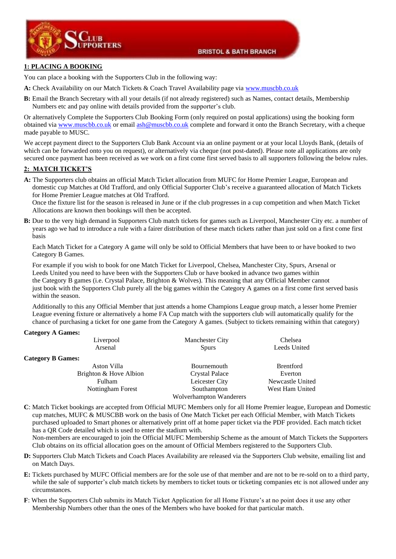



## **1: PLACING A BOOKING**

You can place a booking with the Supporters Club in the following way:

- **A:** Check Availability on our Match Tickets & Coach Travel Availability page via [www.muscbb.co.uk](http://www.muscbb.co.uk/)
- **B:** Email the Branch Secretary with all your details (if not already registered) such as Names, contact details, Membership Numbers etc and pay online with details provided from the supporter's club.

Or alternatively Complete the Supporters Club Booking Form (only required on postal applications) using the booking form obtained vi[a www.muscbb.co.uk](http://www.muscbb.co.uk/) or email [ash@muscbb.co.uk](mailto:ash@muscbb.co.uk) complete and forward it onto the Branch Secretary, with a cheque made payable to MUSC.

We accept payment direct to the Supporters Club Bank Account via an online payment or at your local Lloyds Bank, (details of which can be forwarded onto you on request), or alternatively via cheque (not post-dated). Please note all applications are only secured once payment has been received as we work on a first come first served basis to all supporters following the below rules.

### **2: MATCH TICKET'S**

**A:** The Supporters club obtains an official Match Ticket allocation from MUFC for Home Premier League, European and domestic cup Matches at Old Trafford, and only Official Supporter Club's receive a guaranteed allocation of Match Tickets for Home Premier League matches at Old Trafford.

 Once the fixture list for the season is released in June or if the club progresses in a cup competition and when Match Ticket Allocations are known then bookings will then be accepted.

**B:** Due to the very high demand in Supporters Club match tickets for games such as Liverpool, Manchester City etc. a number of years ago we had to introduce a rule with a fairer distribution of these match tickets rather than just sold on a first come first basis

 Each Match Ticket for a Category A game will only be sold to Official Members that have been to or have booked to two Category B Games.

 For example if you wish to book for one Match Ticket for Liverpool, Chelsea, Manchester City, Spurs, Arsenal or Leeds United you need to have been with the Supporters Club or have booked in advance two games within the Category B games (i.e. Crystal Palace, Brighton & Wolves). This meaning that any Official Member cannot just book with the Supporters Club purely all the big games within the Category A games on a first come first served basis within the season.

 Additionally to this any Official Member that just attends a home Champions League group match, a lesser home Premier League evening fixture or alternatively a home FA Cup match with the supporters club will automatically qualify for the chance of purchasing a ticket for one game from the Category A games. (Subject to tickets remaining within that category)

#### **Category A Games:**

| $\sum$                   |                              |                  |
|--------------------------|------------------------------|------------------|
| Liverpool                | <b>Manchester City</b>       | Chelsea          |
| Arsenal                  | Leeds United<br><b>Spurs</b> |                  |
| <b>Category B Games:</b> |                              |                  |
| Aston Villa              | Bournemouth                  | <b>Brentford</b> |
| Brighton & Hove Albion   | Crystal Palace               | Everton          |
| Fulham                   | Leicester City               | Newcastle United |
| Nottingham Forest        | Southampton                  | West Ham United  |
|                          | Wolverhampton Wanderers      |                  |
|                          |                              |                  |

**C**: Match Ticket bookings are accepted from Official MUFC Members only for all Home Premier league, European and Domestic cup matches, MUFC & MUSCBB work on the basis of One Match Ticket per each Official Member, with Match Tickets purchased uploaded to Smart phones or alternatively print off at home paper ticket via the PDF provided. Each match ticket has a QR Code detailed which is used to enter the stadium with.

 Non-members are encouraged to join the Official MUFC Membership Scheme as the amount of Match Tickets the Supporters Club obtains on its official allocation goes on the amount of Official Members registered to the Supporters Club.

- **D:** Supporters Club Match Tickets and Coach Places Availability are released via the Supporters Club website, emailing list and on Match Days.
- **E:** Tickets purchased by MUFC Official members are for the sole use of that member and are not to be re-sold on to a third party, while the sale of supporter's club match tickets by members to ticket touts or ticketing companies etc is not allowed under any circumstances.
- **F**: When the Supporters Club submits its Match Ticket Application for all Home Fixture's at no point does it use any other Membership Numbers other than the ones of the Members who have booked for that particular match.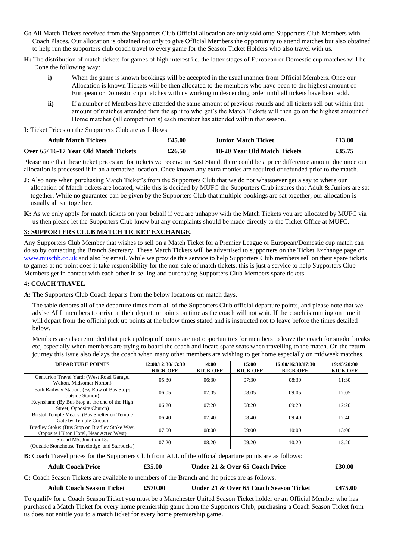- **G:** All Match Tickets received from the Supporters Club Official allocation are only sold onto Supporters Club Members with Coach Places. Our allocation is obtained not only to give Official Members the opportunity to attend matches but also obtained to help run the supporters club coach travel to every game for the Season Ticket Holders who also travel with us.
- **H:** The distribution of match tickets for games of high interest i.e. the latter stages of European or Domestic cup matches will be Done the following way:
	- **i)** When the game is known bookings will be accepted in the usual manner from Official Members. Once our Allocation is known Tickets will be then allocated to the members who have been to the highest amount of European or Domestic cup matches with us working in descending order until all tickets have been sold.
	- **ii)** If a number of Members have attended the same amount of previous rounds and all tickets sell out within that amount of matches attended then the split to who get's the Match Tickets will then go on the highest amount of Home matches (all competition's) each member has attended within that season.

**I:** Ticket Prices on the Supporters Club are as follows:

| <b>Adult Match Tickets</b>           | £45.00 | <b>Junior Match Ticket</b>   | £13.00 |
|--------------------------------------|--------|------------------------------|--------|
| Over 65/16-17 Year Old Match Tickets | £26.50 | 18-20 Year Old Match Tickets | £35.75 |

Please note that these ticket prices are for tickets we receive in East Stand, there could be a price difference amount due once our allocation is processed if in an alternative location. Once known any extra monies are required or refunded prior to the match.

- **J:** Also note when purchasing Match Ticket's from the Supporters Club that we do not whatsoever get a say to where our allocation of Match tickets are located, while this is decided by MUFC the Supporters Club insures that Adult  $\&$  Juniors are sat together. While no guarantee can be given by the Supporters Club that multiple bookings are sat together, our allocation is usually all sat together.
- **K:** As we only apply for match tickets on your behalf if you are unhappy with the Match Tickets you are allocated by MUFC via us then please let the Supporters Club know but any complaints should be made directly to the Ticket Office at MUFC.

## **3: SUPPORTERS CLUB MATCH TICKET EXCHANGE**.

Any Supporters Club Member that wishes to sell on a Match Ticket for a Premier League or European/Domestic cup match can do so by contacting the Branch Secretary. These Match Tickets will be advertised to supporters on the Ticket Exchange page on [www.muscbb.co.uk](http://www.muscbb.co.uk/) and also by email. While we provide this service to help Supporters Club members sell on their spare tickets to games at no point does it take responsibility for the non-sale of match tickets, this is just a service to help Supporters Club Members get in contact with each other in selling and purchasing Supporters Club Members spare tickets.

#### **4: COACH TRAVEL**

**A:** The Supporters Club Coach departs from the below locations on match days.

 The table denotes all of the departure times from all of the Supporters Club official departure points, and please note that we advise ALL members to arrive at their departure points on time as the coach will not wait. If the coach is running on time it will depart from the official pick up points at the below times stated and is instructed not to leave before the times detailed below.

 Members are also reminded that pick up/drop off points are not opportunities for members to leave the coach for smoke breaks etc, especially when members are trying to board the coach and locate spare seats when travelling to the match. On the return journey this issue also delays the coach when many other members are wishing to get home especially on midweek matches.

| <b>DEPARTURE POINTS</b>                                                                   | 12:00/12:30/13:30<br><b>KICK OFF</b> | 14:00<br><b>KICK OFF</b> | 15:00<br><b>KICK OFF</b> | 16:00/16:30/17:30<br><b>KICK OFF</b> | 19:45/20:00<br><b>KICK OFF</b> |
|-------------------------------------------------------------------------------------------|--------------------------------------|--------------------------|--------------------------|--------------------------------------|--------------------------------|
| Centurion Travel Yard: (West Road Garage,<br>Welton, Midsomer Norton)                     | 05:30                                | 06:30                    | 07:30                    | 08:30                                | 11:30                          |
| Bath Railway Station: (By Row of Bus Stops)<br>outside Station)                           | 06:05                                | 07:05                    | 08:05                    | 09:05                                | 12:05                          |
| Keynsham: (By Bus Stop at the end of the High<br>Street, Opposite Church)                 | 06:20                                | 07:20                    | 08:20                    | 09:20                                | 12:20                          |
| Bristol Temple Meads: (Bus Shelter on Temple<br>Gate by Temple Circus)                    | 06:40                                | 07:40                    | 08:40                    | 09:40                                | 12:40                          |
| Bradley Stoke: (Bus Stop on Bradley Stoke Way,<br>Opposite Hilton Hotel, Near Aztec West) | 07:00                                | 08:00                    | 09:00                    | 10:00                                | 13:00                          |
| Stroud M5, Junction 13:<br>(Outside Stonehouse Travelodge and Starbucks)                  | 07:20                                | 08:20                    | 09:20                    | 10:20                                | 13:20                          |

**B:** Coach Travel prices for the Supporters Club from ALL of the official departure points are as follows:

**Adult Coach Price £35.00 Under 21 & Over 65 Coach Price £30.00**

**C:** Coach Season Tickets are available to members of the Branch and the prices are as follows:

#### **Adult Coach Season Ticket £570.00 Under 21 & Over 65 Coach Season Ticket £475.00**

To qualify for a Coach Season Ticket you must be a Manchester United Season Ticket holder or an Official Member who has purchased a Match Ticket for every home premiership game from the Supporters Club, purchasing a Coach Season Ticket from us does not entitle you to a match ticket for every home premiership game.